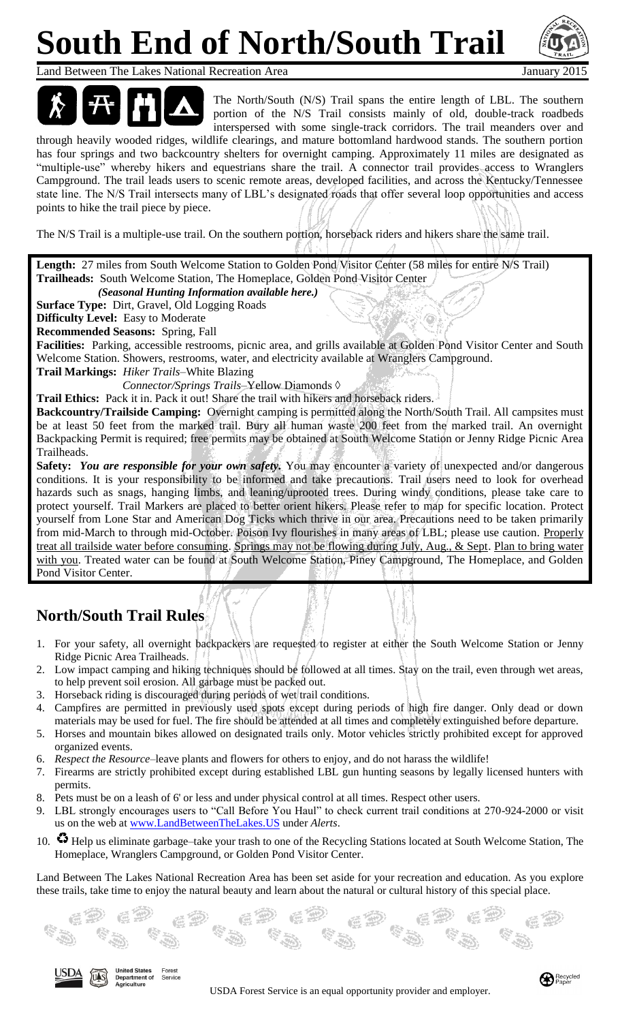# **South End of North/South Trail**



Land Between The Lakes National Recreation Area January 2015



The North/South (N/S) Trail spans the entire length of LBL. The southern portion of the N/S Trail consists mainly of old, double-track roadbeds interspersed with some single-track corridors. The trail meanders over and

through heavily wooded ridges, wildlife clearings, and mature bottomland hardwood stands. The southern portion has four springs and two backcountry shelters for overnight camping. Approximately 11 miles are designated as "multiple-use" whereby hikers and equestrians share the trail. A connector trail provides access to Wranglers Campground. The trail leads users to scenic remote areas, developed facilities, and across the Kentucky/Tennessee state line. The N/S Trail intersects many of LBL's designated roads that offer several loop opportunities and access points to hike the trail piece by piece.

The N/S Trail is a multiple-use trail. On the southern portion, horseback riders and hikers share the same trail.

Length: 27 miles from South Welcome Station to Golden Pond Visitor Center (58 miles for entire N/S Trail) **Trailheads:** South Welcome Station, The Homeplace, Golden Pond Visitor Center

 *(Seasonal Hunting Information available here.)*

**Surface Type:** Dirt, Gravel, Old Logging Roads

**Difficulty Level:** Easy to Moderate

**Recommended Seasons:** Spring, Fall

**Facilities:** Parking, accessible restrooms, picnic area, and grills available at Golden Pond Visitor Center and South Welcome Station. Showers, restrooms, water, and electricity available at Wranglers Campground.

**Trail Markings:** *Hiker Trails*–White Blazing

*Connector/Springs Trails*–Yellow Diamonds ◊

**Trail Ethics:** Pack it in. Pack it out! Share the trail with hikers and horseback riders.

**Backcountry/Trailside Camping:** Overnight camping is permitted along the North/South Trail. All campsites must be at least 50 feet from the marked trail. Bury all human waste 200 feet from the marked trail. An overnight Backpacking Permit is required; free permits may be obtained at South Welcome Station or Jenny Ridge Picnic Area Trailheads.

**Safety:** *You are responsible for your own safety.* You may encounter a variety of unexpected and/or dangerous conditions. It is your responsibility to be informed and take precautions. Trail users need to look for overhead hazards such as snags, hanging limbs, and leaning/uprooted trees. During windy conditions, please take care to protect yourself. Trail Markers are placed to better orient hikers. Please refer to map for specific location. Protect yourself from Lone Star and American Dog Ticks which thrive in our area. Precautions need to be taken primarily from mid-March to through mid-October. Poison Ivy flourishes in many areas of LBL; please use caution. Properly treat all trailside water before consuming. Springs may not be flowing during July, Aug., & Sept. Plan to bring water with you. Treated water can be found at South Welcome Station, Piney Campground, The Homeplace, and Golden Pond Visitor Center.

### **North/South Trail Rules**

JSDA

 $int$  of

- 1. For your safety, all overnight backpackers are requested to register at either the South Welcome Station or Jenny Ridge Picnic Area Trailheads.
- 2. Low impact camping and hiking techniques should be followed at all times. Stay on the trail, even through wet areas, to help prevent soil erosion. All garbage must be packed out.
- 3. Horseback riding is discouraged during periods of wet trail conditions.
- 4. Campfires are permitted in previously used spots except during periods of high fire danger. Only dead or down materials may be used for fuel. The fire should be attended at all times and completely extinguished before departure.
- 5. Horses and mountain bikes allowed on designated trails only. Motor vehicles strictly prohibited except for approved organized events.
- 6. *Respect the Resource*–leave plants and flowers for others to enjoy, and do not harass the wildlife!
- 7. Firearms are strictly prohibited except during established LBL gun hunting seasons by legally licensed hunters with permits.
- 8. Pets must be on a leash of 6' or less and under physical control at all times. Respect other users.
- 9. LBL strongly encourages users to "Call Before You Haul" to check current trail conditions at 270-924-2000 or visit us on the web at [www.LandBetweenTheLakes.U](http://www.landbetweenthelakes./)S under *Alerts*.
- 10.  $\bullet$  Help us eliminate garbage–take your trash to one of the Recycling Stations located at South Welcome Station, The Homeplace, Wranglers Campground, or Golden Pond Visitor Center.

Land Between The Lakes National Recreation Area has been set aside for your recreation and education. As you explore these trails, take time to enjoy the natural beauty and learn about the natural or cultural history of this special place.